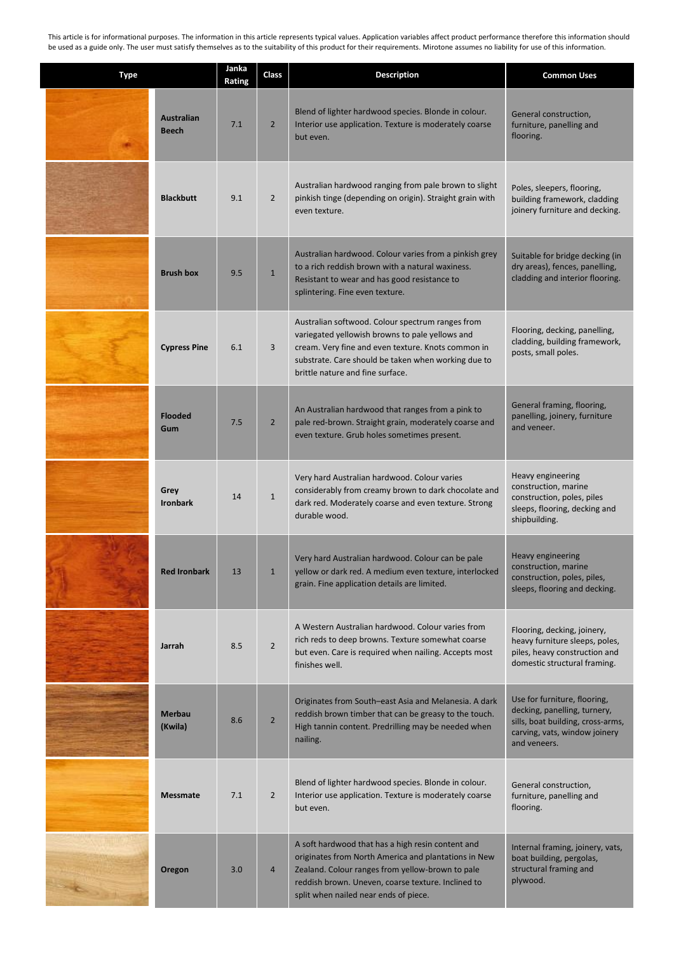This article is for informational purposes. The information in this article represents typical values. Application variables affect product performance therefore this information should be used as a guide only. The user must satisfy themselves as to the suitability of this product for their requirements. Mirotone assumes no liability for use of this information.

| <b>Type</b> |                                   | Janka<br>Rating | Class          | <b>Description</b>                                                                                                                                                                                                                                           | <b>Common Uses</b>                                                                                                                                 |
|-------------|-----------------------------------|-----------------|----------------|--------------------------------------------------------------------------------------------------------------------------------------------------------------------------------------------------------------------------------------------------------------|----------------------------------------------------------------------------------------------------------------------------------------------------|
|             | <b>Australian</b><br><b>Beech</b> | 7.1             | $\overline{2}$ | Blend of lighter hardwood species. Blonde in colour.<br>Interior use application. Texture is moderately coarse<br>but even.                                                                                                                                  | General construction,<br>furniture, panelling and<br>flooring.                                                                                     |
|             | <b>Blackbutt</b>                  | 9.1             | $2^{\circ}$    | Australian hardwood ranging from pale brown to slight<br>pinkish tinge (depending on origin). Straight grain with<br>even texture.                                                                                                                           | Poles, sleepers, flooring,<br>building framework, cladding<br>joinery furniture and decking.                                                       |
|             | <b>Brush box</b>                  | 9.5             | $\mathbf{1}$   | Australian hardwood. Colour varies from a pinkish grey<br>to a rich reddish brown with a natural waxiness.<br>Resistant to wear and has good resistance to<br>splintering. Fine even texture.                                                                | Suitable for bridge decking (in<br>dry areas), fences, panelling,<br>cladding and interior flooring.                                               |
|             | <b>Cypress Pine</b>               | 6.1             | 3              | Australian softwood. Colour spectrum ranges from<br>variegated yellowish browns to pale yellows and<br>cream. Very fine and even texture. Knots common in<br>substrate. Care should be taken when working due to<br>brittle nature and fine surface.         | Flooring, decking, panelling,<br>cladding, building framework,<br>posts, small poles.                                                              |
|             | <b>Flooded</b><br>Gum             | 7.5             | $2^{\circ}$    | An Australian hardwood that ranges from a pink to<br>pale red-brown. Straight grain, moderately coarse and<br>even texture. Grub holes sometimes present.                                                                                                    | General framing, flooring,<br>panelling, joinery, furniture<br>and veneer.                                                                         |
|             | Grey<br><b>Ironbark</b>           | 14              | $\mathbf{1}$   | Very hard Australian hardwood. Colour varies<br>considerably from creamy brown to dark chocolate and<br>dark red. Moderately coarse and even texture. Strong<br>durable wood.                                                                                | Heavy engineering<br>construction, marine<br>construction, poles, piles<br>sleeps, flooring, decking and<br>shipbuilding.                          |
|             | <b>Red Ironbark</b>               | 13              | $\mathbf{1}$   | Very hard Australian hardwood. Colour can be pale<br>yellow or dark red. A medium even texture, interlocked<br>grain. Fine application details are limited.                                                                                                  | Heavy engineering<br>construction, marine<br>construction, poles, piles,<br>sleeps, flooring and decking.                                          |
|             | Jarrah                            | 8.5             | $2^{\circ}$    | A Western Australian hardwood. Colour varies from<br>rich reds to deep browns. Texture somewhat coarse<br>but even. Care is required when nailing. Accepts most<br>finishes well.                                                                            | Flooring, decking, joinery,<br>heavy furniture sleeps, poles,<br>piles, heavy construction and<br>domestic structural framing.                     |
|             | <b>Merbau</b><br>(Kwila)          | 8.6             | $\overline{2}$ | Originates from South-east Asia and Melanesia. A dark<br>reddish brown timber that can be greasy to the touch.<br>High tannin content. Predrilling may be needed when<br>nailing.                                                                            | Use for furniture, flooring,<br>decking, panelling, turnery,<br>sills, boat building, cross-arms,<br>carving, vats, window joinery<br>and veneers. |
|             | <b>Messmate</b>                   | 7.1             | $\overline{2}$ | Blend of lighter hardwood species. Blonde in colour.<br>Interior use application. Texture is moderately coarse<br>but even.                                                                                                                                  | General construction,<br>furniture, panelling and<br>flooring.                                                                                     |
|             | Oregon                            | 3.0             | $\overline{4}$ | A soft hardwood that has a high resin content and<br>originates from North America and plantations in New<br>Zealand. Colour ranges from yellow-brown to pale<br>reddish brown. Uneven, coarse texture. Inclined to<br>split when nailed near ends of piece. | Internal framing, joinery, vats,<br>boat building, pergolas,<br>structural framing and<br>plywood.                                                 |